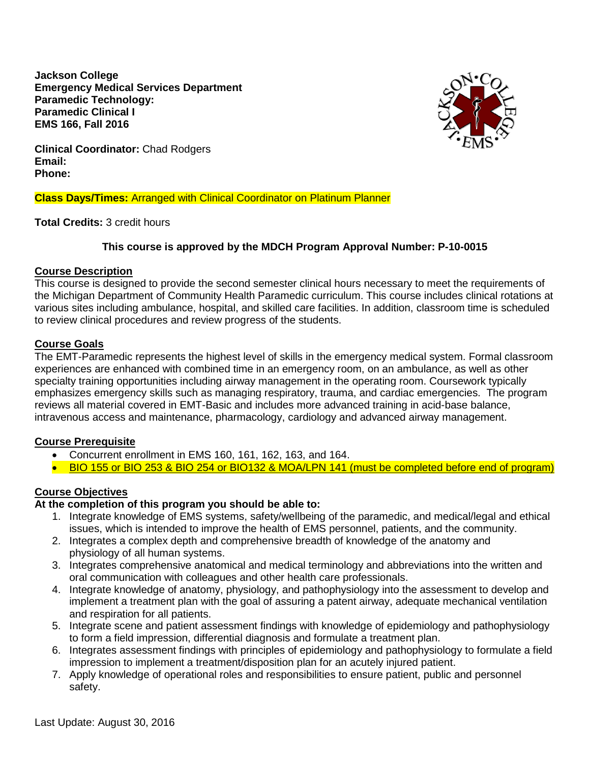**Jackson College Emergency Medical Services Department Paramedic Technology: Paramedic Clinical I EMS 166, Fall 2016**



**Clinical Coordinator:** Chad Rodgers **Email: Phone:** 

## **Class Days/Times:** Arranged with Clinical Coordinator on Platinum Planner

**Total Credits:** 3 credit hours

## **This course is approved by the MDCH Program Approval Number: P-10-0015**

#### **Course Description**

This course is designed to provide the second semester clinical hours necessary to meet the requirements of the Michigan Department of Community Health Paramedic curriculum. This course includes clinical rotations at various sites including ambulance, hospital, and skilled care facilities. In addition, classroom time is scheduled to review clinical procedures and review progress of the students.

## **Course Goals**

The EMT-Paramedic represents the highest level of skills in the emergency medical system. Formal classroom experiences are enhanced with combined time in an emergency room, on an ambulance, as well as other specialty training opportunities including airway management in the operating room. Coursework typically emphasizes emergency skills such as managing respiratory, trauma, and cardiac emergencies. The program reviews all material covered in EMT-Basic and includes more advanced training in acid-base balance, intravenous access and maintenance, pharmacology, cardiology and advanced airway management.

## **Course Prerequisite**

- Concurrent enrollment in EMS 160, 161, 162, 163, and 164.
- BIO 155 or BIO 253 & BIO 254 or BIO132 & MOA/LPN 141 (must be completed before end of program)

## **Course Objectives**

## **At the completion of this program you should be able to:**

- 1. Integrate knowledge of EMS systems, safety/wellbeing of the paramedic, and medical/legal and ethical issues, which is intended to improve the health of EMS personnel, patients, and the community.
- 2. Integrates a complex depth and comprehensive breadth of knowledge of the anatomy and physiology of all human systems.
- 3. Integrates comprehensive anatomical and medical terminology and abbreviations into the written and oral communication with colleagues and other health care professionals.
- 4. Integrate knowledge of anatomy, physiology, and pathophysiology into the assessment to develop and implement a treatment plan with the goal of assuring a patent airway, adequate mechanical ventilation and respiration for all patients.
- 5. Integrate scene and patient assessment findings with knowledge of epidemiology and pathophysiology to form a field impression, differential diagnosis and formulate a treatment plan.
- 6. Integrates assessment findings with principles of epidemiology and pathophysiology to formulate a field impression to implement a treatment/disposition plan for an acutely injured patient.
- 7. Apply knowledge of operational roles and responsibilities to ensure patient, public and personnel safety.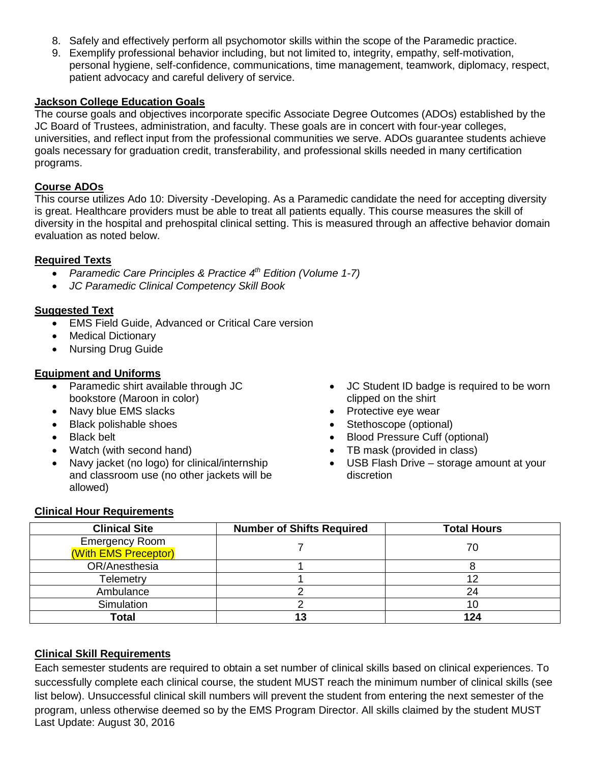- 8. Safely and effectively perform all psychomotor skills within the scope of the Paramedic practice.
- 9. Exemplify professional behavior including, but not limited to, integrity, empathy, self-motivation, personal hygiene, self-confidence, communications, time management, teamwork, diplomacy, respect, patient advocacy and careful delivery of service.

### **Jackson College Education Goals**

The course goals and objectives incorporate specific Associate Degree Outcomes (ADOs) established by the JC Board of Trustees, administration, and faculty. These goals are in concert with four-year colleges, universities, and reflect input from the professional communities we serve. ADOs guarantee students achieve goals necessary for graduation credit, transferability, and professional skills needed in many certification programs.

### **Course ADOs**

This course utilizes Ado 10: Diversity -Developing. As a Paramedic candidate the need for accepting diversity is great. Healthcare providers must be able to treat all patients equally. This course measures the skill of diversity in the hospital and prehospital clinical setting. This is measured through an affective behavior domain evaluation as noted below.

### **Required Texts**

- *Paramedic Care Principles & Practice 4th Edition (Volume 1-7)*
- *JC Paramedic Clinical Competency Skill Book*

### **Suggested Text**

- EMS Field Guide, Advanced or Critical Care version
- Medical Dictionary
- Nursing Drug Guide

### **Equipment and Uniforms**

- Paramedic shirt available through JC bookstore (Maroon in color)
- Navy blue EMS slacks
- Black polishable shoes
- **Black belt**
- Watch (with second hand)
- Navy jacket (no logo) for clinical/internship and classroom use (no other jackets will be allowed)
- JC Student ID badge is required to be worn clipped on the shirt
- Protective eye wear
- Stethoscope (optional)
- Blood Pressure Cuff (optional)
- TB mask (provided in class)
- USB Flash Drive storage amount at your discretion

#### **Clinical Hour Requirements**

| <b>Clinical Site</b>  | <b>Number of Shifts Required</b> | <b>Total Hours</b> |
|-----------------------|----------------------------------|--------------------|
| <b>Emergency Room</b> |                                  | 70                 |
| (With EMS Preceptor)  |                                  |                    |
| OR/Anesthesia         |                                  |                    |
| Telemetry             |                                  |                    |
| Ambulance             |                                  | 24                 |
| Simulation            |                                  | 10                 |
| <b>Total</b>          |                                  | 124                |

## **Clinical Skill Requirements**

Last Update: August 30, 2016 Each semester students are required to obtain a set number of clinical skills based on clinical experiences. To successfully complete each clinical course, the student MUST reach the minimum number of clinical skills (see list below). Unsuccessful clinical skill numbers will prevent the student from entering the next semester of the program, unless otherwise deemed so by the EMS Program Director. All skills claimed by the student MUST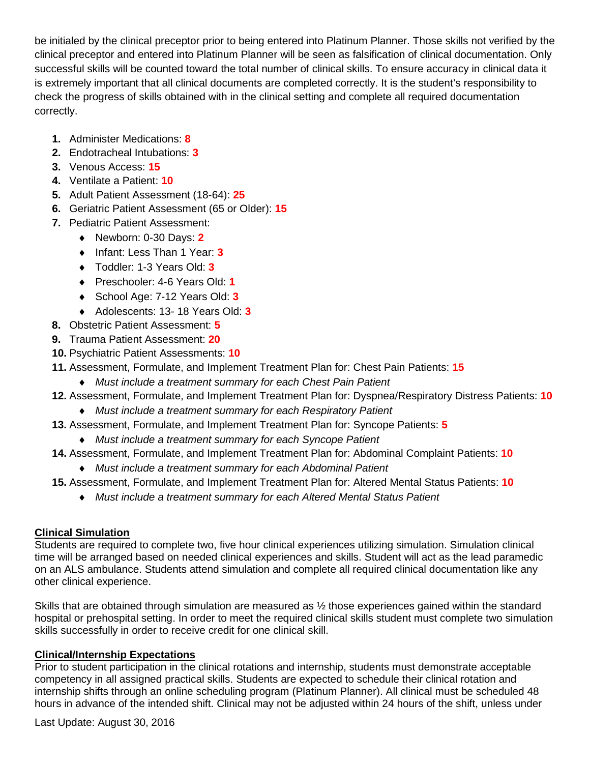be initialed by the clinical preceptor prior to being entered into Platinum Planner. Those skills not verified by the clinical preceptor and entered into Platinum Planner will be seen as falsification of clinical documentation. Only successful skills will be counted toward the total number of clinical skills. To ensure accuracy in clinical data it is extremely important that all clinical documents are completed correctly. It is the student's responsibility to check the progress of skills obtained with in the clinical setting and complete all required documentation correctly.

- **1.** Administer Medications: **8**
- **2.** Endotracheal Intubations: **3**
- **3.** Venous Access: **15**
- **4.** Ventilate a Patient: **10**
- **5.** Adult Patient Assessment (18-64): **25**
- **6.** Geriatric Patient Assessment (65 or Older): **15**
- **7.** Pediatric Patient Assessment:
	- ♦ Newborn: 0-30 Days: **2**
	- ♦ Infant: Less Than 1 Year: **3**
	- ♦ Toddler: 1-3 Years Old: **3**
	- ♦ Preschooler: 4-6 Years Old: **1**
	- ♦ School Age: 7-12 Years Old: **3**
	- ♦ Adolescents: 13- 18 Years Old: **3**
- **8.** Obstetric Patient Assessment: **5**
- **9.** Trauma Patient Assessment: **20**
- **10.** Psychiatric Patient Assessments: **10**
- **11.** Assessment, Formulate, and Implement Treatment Plan for: Chest Pain Patients: **15**
	- ♦ *Must include a treatment summary for each Chest Pain Patient*
- **12.** Assessment, Formulate, and Implement Treatment Plan for: Dyspnea/Respiratory Distress Patients: **10**
	- ♦ *Must include a treatment summary for each Respiratory Patient*
- **13.** Assessment, Formulate, and Implement Treatment Plan for: Syncope Patients: **5**
	- ♦ *Must include a treatment summary for each Syncope Patient*
- **14.** Assessment, Formulate, and Implement Treatment Plan for: Abdominal Complaint Patients: **10**
	- ♦ *Must include a treatment summary for each Abdominal Patient*
- **15.** Assessment, Formulate, and Implement Treatment Plan for: Altered Mental Status Patients: **10**
	- ♦ *Must include a treatment summary for each Altered Mental Status Patient*

# **Clinical Simulation**

Students are required to complete two, five hour clinical experiences utilizing simulation. Simulation clinical time will be arranged based on needed clinical experiences and skills. Student will act as the lead paramedic on an ALS ambulance. Students attend simulation and complete all required clinical documentation like any other clinical experience.

Skills that are obtained through simulation are measured as ½ those experiences gained within the standard hospital or prehospital setting. In order to meet the required clinical skills student must complete two simulation skills successfully in order to receive credit for one clinical skill.

# **Clinical/Internship Expectations**

Prior to student participation in the clinical rotations and internship, students must demonstrate acceptable competency in all assigned practical skills. Students are expected to schedule their clinical rotation and internship shifts through an online scheduling program (Platinum Planner). All clinical must be scheduled 48 hours in advance of the intended shift. Clinical may not be adjusted within 24 hours of the shift, unless under

Last Update: August 30, 2016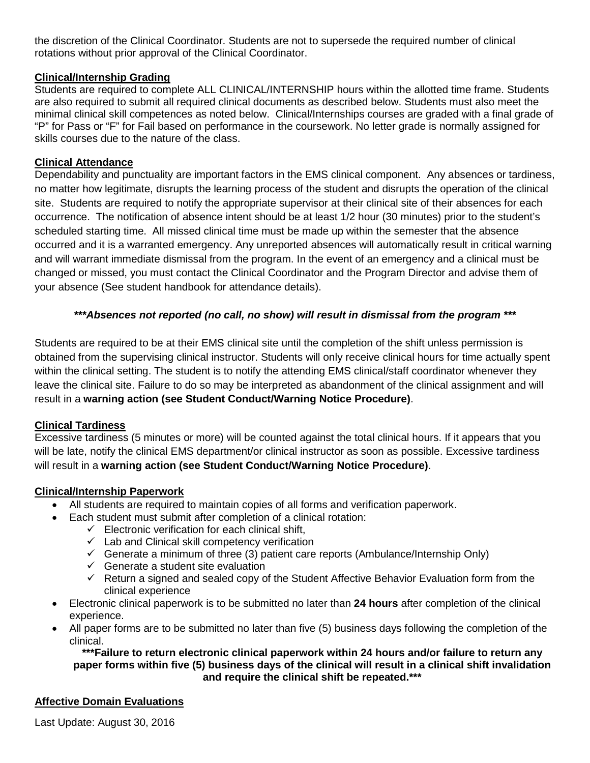the discretion of the Clinical Coordinator. Students are not to supersede the required number of clinical rotations without prior approval of the Clinical Coordinator.

## **Clinical/Internship Grading**

Students are required to complete ALL CLINICAL/INTERNSHIP hours within the allotted time frame. Students are also required to submit all required clinical documents as described below. Students must also meet the minimal clinical skill competences as noted below. Clinical/Internships courses are graded with a final grade of "P" for Pass or "F" for Fail based on performance in the coursework. No letter grade is normally assigned for skills courses due to the nature of the class.

## **Clinical Attendance**

Dependability and punctuality are important factors in the EMS clinical component. Any absences or tardiness, no matter how legitimate, disrupts the learning process of the student and disrupts the operation of the clinical site. Students are required to notify the appropriate supervisor at their clinical site of their absences for each occurrence. The notification of absence intent should be at least 1/2 hour (30 minutes) prior to the student's scheduled starting time. All missed clinical time must be made up within the semester that the absence occurred and it is a warranted emergency. Any unreported absences will automatically result in critical warning and will warrant immediate dismissal from the program. In the event of an emergency and a clinical must be changed or missed, you must contact the Clinical Coordinator and the Program Director and advise them of your absence (See student handbook for attendance details).

## *\*\*\*Absences not reported (no call, no show) will result in dismissal from the program \*\*\**

Students are required to be at their EMS clinical site until the completion of the shift unless permission is obtained from the supervising clinical instructor. Students will only receive clinical hours for time actually spent within the clinical setting. The student is to notify the attending EMS clinical/staff coordinator whenever they leave the clinical site. Failure to do so may be interpreted as abandonment of the clinical assignment and will result in a **warning action (see Student Conduct/Warning Notice Procedure)**.

## **Clinical Tardiness**

Excessive tardiness (5 minutes or more) will be counted against the total clinical hours. If it appears that you will be late, notify the clinical EMS department/or clinical instructor as soon as possible. Excessive tardiness will result in a **warning action (see Student Conduct/Warning Notice Procedure)**.

## **Clinical/Internship Paperwork**

- All students are required to maintain copies of all forms and verification paperwork.
	- Each student must submit after completion of a clinical rotation:
		- $\checkmark$  Electronic verification for each clinical shift,
		- $\checkmark$  Lab and Clinical skill competency verification
		- Generate a minimum of three (3) patient care reports (Ambulance/Internship Only)
		- $\checkmark$  Generate a student site evaluation
		- $\checkmark$  Return a signed and sealed copy of the Student Affective Behavior Evaluation form from the clinical experience
- Electronic clinical paperwork is to be submitted no later than **24 hours** after completion of the clinical experience.
- All paper forms are to be submitted no later than five (5) business days following the completion of the clinical.

**\*\*\*Failure to return electronic clinical paperwork within 24 hours and/or failure to return any paper forms within five (5) business days of the clinical will result in a clinical shift invalidation and require the clinical shift be repeated.\*\*\***

# **Affective Domain Evaluations**

Last Update: August 30, 2016